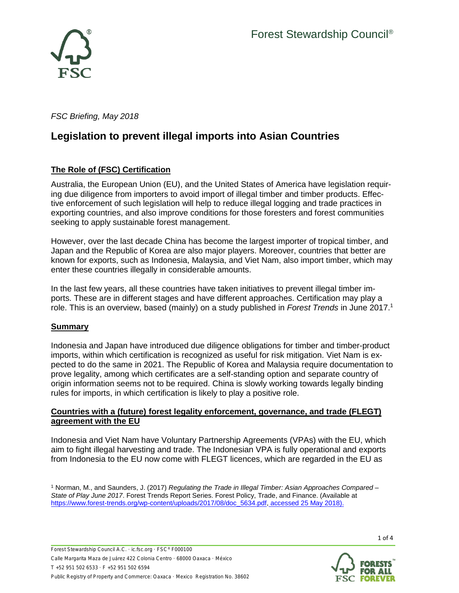

*FSC Briefing, May 2018*

# **Legislation to prevent illegal imports into Asian Countries**

# **The Role of (FSC) Certification**

Australia, the European Union (EU), and the United States of America have legislation requiring due diligence from importers to avoid import of illegal timber and timber products. Effective enforcement of such legislation will help to reduce illegal logging and trade practices in exporting countries, and also improve conditions for those foresters and forest communities seeking to apply sustainable forest management.

However, over the last decade China has become the largest importer of tropical timber, and Japan and the Republic of Korea are also major players. Moreover, countries that better are known for exports, such as Indonesia, Malaysia, and Viet Nam, also import timber, which may enter these countries illegally in considerable amounts.

In the last few years, all these countries have taken initiatives to prevent illegal timber imports. These are in different stages and have different approaches. Certification may play a role. This is an overview, based (mainly) on a study published in *Forest Trends* in June 2017. 1

## **Summary**

Indonesia and Japan have introduced due diligence obligations for timber and timber-product imports, within which certification is recognized as useful for risk mitigation. Viet Nam is expected to do the same in 2021. The Republic of Korea and Malaysia require documentation to prove legality, among which certificates are a self-standing option and separate country of origin information seems not to be required. China is slowly working towards legally binding rules for imports, in which certification is likely to play a positive role.

### **Countries with a (future) forest legality enforcement, governance, and trade (FLEGT) agreement with the EU**

Indonesia and Viet Nam have Voluntary Partnership Agreements (VPAs) with the EU, which aim to fight illegal harvesting and trade. The Indonesian VPA is fully operational and exports from Indonesia to the EU now come with FLEGT licences, which are regarded in the EU as

<sup>1</sup> Norman, M., and Saunders, J. (2017) *Regulating the Trade in Illegal Timber: Asian Approaches Compared – State of Play June 2017*. Forest Trends Report Series. Forest Policy, Trade, and Finance. (Available at [https://www.forest-trends.org/wp-content/uploads/2017/08/doc\\_5634.pdf,](https://www.forest-trends.org/wp-content/uploads/2017/08/doc_5634.pdf) accessed 25 May 2018).



1 of 4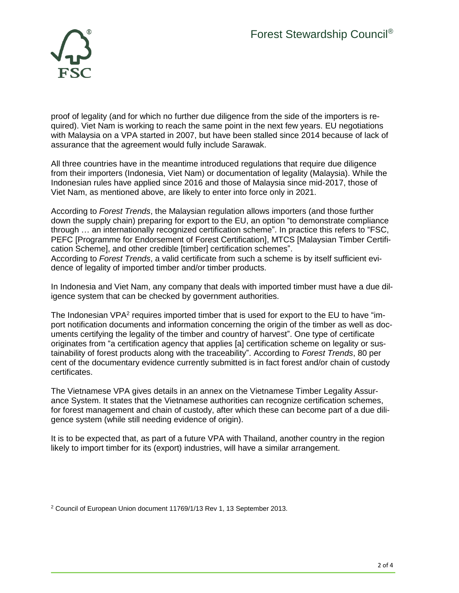

proof of legality (and for which no further due diligence from the side of the importers is required). Viet Nam is working to reach the same point in the next few years. EU negotiations with Malaysia on a VPA started in 2007, but have been stalled since 2014 because of lack of assurance that the agreement would fully include Sarawak.

All three countries have in the meantime introduced regulations that require due diligence from their importers (Indonesia, Viet Nam) or documentation of legality (Malaysia). While the Indonesian rules have applied since 2016 and those of Malaysia since mid-2017, those of Viet Nam, as mentioned above, are likely to enter into force only in 2021.

According to *Forest Trends*, the Malaysian regulation allows importers (and those further down the supply chain) preparing for export to the EU, an option "to demonstrate compliance through … an internationally recognized certification scheme". In practice this refers to "FSC, PEFC [Programme for Endorsement of Forest Certification], MTCS [Malaysian Timber Certification Scheme], and other credible [timber] certification schemes". According to *Forest Trends*, a valid certificate from such a scheme is by itself sufficient evidence of legality of imported timber and/or timber products.

In Indonesia and Viet Nam, any company that deals with imported timber must have a due diligence system that can be checked by government authorities.

The Indonesian  $VPA<sup>2</sup>$  requires imported timber that is used for export to the EU to have "import notification documents and information concerning the origin of the timber as well as documents certifying the legality of the timber and country of harvest". One type of certificate originates from "a certification agency that applies [a] certification scheme on legality or sustainability of forest products along with the traceability". According to *Forest Trends*, 80 per cent of the documentary evidence currently submitted is in fact forest and/or chain of custody certificates.

The Vietnamese VPA gives details in an annex on the Vietnamese Timber Legality Assurance System. It states that the Vietnamese authorities can recognize certification schemes, for forest management and chain of custody, after which these can become part of a due diligence system (while still needing evidence of origin).

It is to be expected that, as part of a future VPA with Thailand, another country in the region likely to import timber for its (export) industries, will have a similar arrangement.

<sup>2</sup> Council of European Union document 11769/1/13 Rev 1, 13 September 2013.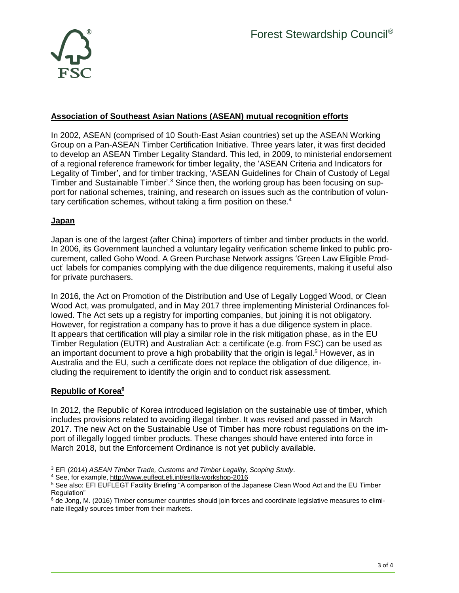

## **Association of Southeast Asian Nations (ASEAN) mutual recognition efforts**

In 2002, ASEAN (comprised of 10 South-East Asian countries) set up the ASEAN Working Group on a Pan-ASEAN Timber Certification Initiative. Three years later, it was first decided to develop an ASEAN Timber Legality Standard. This led, in 2009, to ministerial endorsement of a regional reference framework for timber legality, the 'ASEAN Criteria and Indicators for Legality of Timber', and for timber tracking, 'ASEAN Guidelines for Chain of Custody of Legal Timber and Sustainable Timber'.<sup>3</sup> Since then, the working group has been focusing on support for national schemes, training, and research on issues such as the contribution of voluntary certification schemes, without taking a firm position on these.<sup>4</sup>

### **Japan**

Japan is one of the largest (after China) importers of timber and timber products in the world. In 2006, its Government launched a voluntary legality verification scheme linked to public procurement, called Goho Wood. A Green Purchase Network assigns 'Green Law Eligible Product' labels for companies complying with the due diligence requirements, making it useful also for private purchasers.

In 2016, the Act on Promotion of the Distribution and Use of Legally Logged Wood, or Clean Wood Act, was promulgated, and in May 2017 three implementing Ministerial Ordinances followed. The Act sets up a registry for importing companies, but joining it is not obligatory. However, for registration a company has to prove it has a due diligence system in place. It appears that certification will play a similar role in the risk mitigation phase, as in the EU Timber Regulation (EUTR) and Australian Act: a certificate (e.g. from FSC) can be used as an important document to prove a high probability that the origin is legal.<sup>5</sup> However, as in Australia and the EU, such a certificate does not replace the obligation of due diligence, including the requirement to identify the origin and to conduct risk assessment.

### **Republic of Korea<sup>6</sup>**

In 2012, the Republic of Korea introduced legislation on the sustainable use of timber, which includes provisions related to avoiding illegal timber. It was revised and passed in March 2017. The new Act on the Sustainable Use of Timber has more robust regulations on the import of illegally logged timber products. These changes should have entered into force in March 2018, but the Enforcement Ordinance is not yet publicly available.

<sup>3</sup> EFI (2014) *ASEAN Timber Trade, Customs and Timber Legality, Scoping Study*.

<sup>4</sup> See, for example, <http://www.euflegt.efi.int/es/tla-workshop-2016>

<sup>5</sup> See also: EFI EUFLEGT Facility Briefing "A comparison of the Japanese Clean Wood Act and the EU Timber Regulation"

<sup>&</sup>lt;sup>6</sup> de Jong, M. (2016) Timber consumer countries should join forces and coordinate legislative measures to eliminate illegally sources timber from their markets.